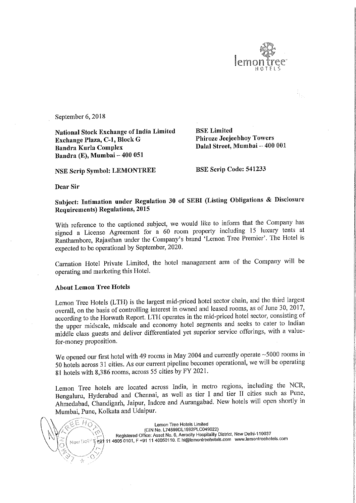

September 6, 2018

National Stock Exchange of India Limited<br>Exchange Plaza, C-1, Block G Phiroze Jeejeebhoy Towers Exchange Plaza, C-1, Block G<br>Bandra Kurla Complex Bandra Kurla Complex Dalal Street, Mumbai <sup>~</sup> 400 001 Bandra (E), Mumbai — 400 051

NSE Scrip Symbol: LEMONTREE BSE Scrip Code: 541233

Dear Sir

## Subject: Intimation under Regulation <sup>30</sup> of SEBI (Listing Obligations & Disclosure Requirements) Regulations, <sup>2015</sup>

With reference to the captioned subject, we would like to inform that the Company has signed <sup>a</sup> License Agreement for <sup>a</sup> <sup>60</sup> room property including <sup>15</sup> luxury tents at Ranthambore, Rajasthan under the Company's brand 'Lemon Tree Premier'. The Hotel is expected to be operational by September, 2020.

Carnation Hotel Private Limited, the hotel management arm of the Company will be operating and marketing this Hotel.

## About Lemon Tree Hotels

Lemon Tree Hotels (LTH) is the largest mid-priced hotel sector chain, and the third largest overall, on the basis of controlling interest in owned and leased rooms, as of June 30, 2017, according to the Horwath Report. LTH operates in the mid-priced hotel sector, consisting of the upper midscale, midscale and economy hotel segments and seeks to cater to Indian middle class guests and deliver differentiated yet superior service offerings, with <sup>a</sup> value for—money proposition.

We opened our first hotel with 49 rooms in May 2004 and currently operate ~5000 rooms in <sup>50</sup> hotels across <sup>31</sup> cities. As our current pipeline becomes operational, we will be operating <sup>81</sup> hotels with 8,386 rooms, across <sup>55</sup> cities by FY 2021.

Lemon Tree hotels are located across India, in metro regions, including the NCR, Bengaluru, Hyderabad and Chennai, as well as tier <sup>I</sup> and tier II cities such as Pune, Ahmedabad, Chandigarh, Jaipur, Indore and Aurangabad. New hotels will open shortly in Mumbai, Pune, Kolkata and Udaipur.

EE HD

Lemon Tree Hotels Limited<br>(CIN No. L74899DL1992PLC049022) Registered Office: Asset No. 6, Aerocity Hospitality District, New Delhi-110037 Registered Office: Asset No. 6, Aerocity Hospitality District, New Delhi-110037<br>"The 11 4605 0101, F +91 11 46050110. E hi@lemontreehotels.com www.lemontreehotels.com<br>"The 11 4605 0101, F +91 11 46050110. E hi@lemontreehot